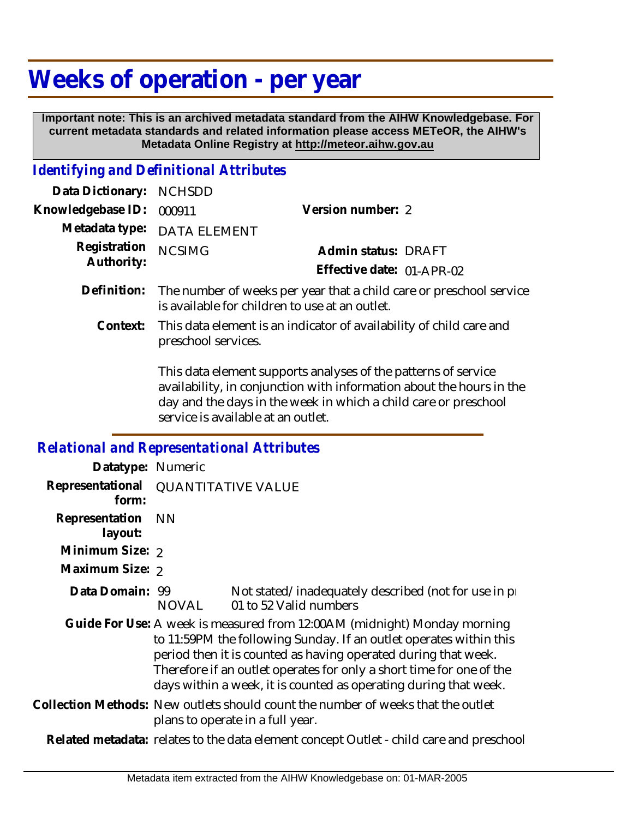## **Weeks of operation - per year**

 **Important note: This is an archived metadata standard from the AIHW Knowledgebase. For current metadata standards and related information please access METeOR, the AIHW's Metadata Online Registry at http://meteor.aihw.gov.au**

## *Identifying and Definitional Attributes*

| Data Dictionary: NCHSDD           |                             |                           |  |
|-----------------------------------|-----------------------------|---------------------------|--|
| Knowledgebase ID: 000911          | Version number: 2           |                           |  |
|                                   | Metadata type: DATA ELEMENT |                           |  |
| Registration NCSIMG<br>Authority: |                             | Admin status: DRAFT       |  |
|                                   |                             | Effective date: 01-APR-02 |  |
|                                   |                             |                           |  |

- Definition: The number of weeks per year that a child care or preschool service is available for children to use at an outlet.
	- This data element is an indicator of availability of child care and preschool services. **Context:**

This data element supports analyses of the patterns of service availability, in conjunction with information about the hours in the day and the days in the week in which a child care or preschool service is available at an outlet.

## *Relational and Representational Attributes*

| Datatype: Numeric         |                                                                                                                                                                                                                                                                                                                                                               |                                                                                  |  |
|---------------------------|---------------------------------------------------------------------------------------------------------------------------------------------------------------------------------------------------------------------------------------------------------------------------------------------------------------------------------------------------------------|----------------------------------------------------------------------------------|--|
| form:                     | Representational QUANTITATIVE VALUE                                                                                                                                                                                                                                                                                                                           |                                                                                  |  |
| Representation<br>layout: | NN.                                                                                                                                                                                                                                                                                                                                                           |                                                                                  |  |
| Minimum Size: 2           |                                                                                                                                                                                                                                                                                                                                                               |                                                                                  |  |
| Maximum Size: 2           |                                                                                                                                                                                                                                                                                                                                                               |                                                                                  |  |
| Data Domain: 99           | NOVAL                                                                                                                                                                                                                                                                                                                                                         | Not stated/inadequately described (not for use in pro-<br>01 to 52 Valid numbers |  |
|                           | Guide For Use: A week is measured from 12:00 AM (midnight) Monday morning<br>to 11:59PM the following Sunday. If an outlet operates within this<br>period then it is counted as having operated during that week.<br>Therefore if an outlet operates for only a short time for one of the<br>days within a week, it is counted as operating during that week. |                                                                                  |  |
|                           | Collection Methods: New outlets should count the number of weeks that the outlet<br>plans to operate in a full year.                                                                                                                                                                                                                                          |                                                                                  |  |
|                           | Related metadata: relates to the data element concept Outlet - child care and preschool                                                                                                                                                                                                                                                                       |                                                                                  |  |
|                           |                                                                                                                                                                                                                                                                                                                                                               |                                                                                  |  |